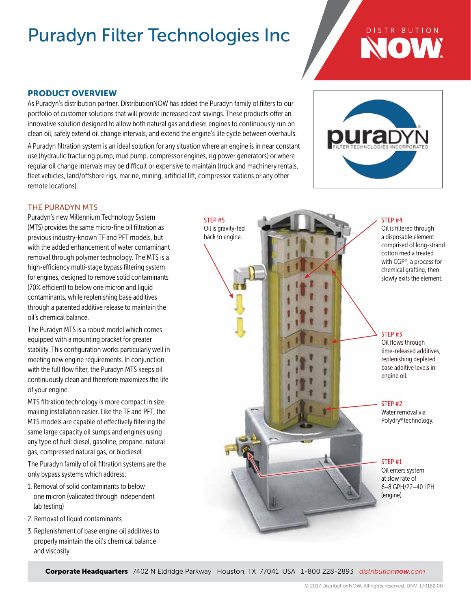## **DISTRIBUTION** NOW

## PRODUCT OVERVIEW

As Puradyn's distribution partner, DistributionNOW has added the Puradyn family of filters to our portfolio of customer solutions that will provide increased cost savings. These products offer an innovative solution designed to allow both natural gas and diesel engines to continuously run on clean oil, safely extend oil change intervals, and extend the engine's life cycle between overhauls.

A Puradyn filtration system is an ideal solution for any situation where an engine is in near constant use (hydraulic fracturing pump, mud pump, compressor engines, rig power generators) or where regular oil change intervals may be difficult or expensive to maintain (truck and machinery rentals, fleet vehicles, land/offshore rigs, marine, mining, artificial lift, compressor stations or any other remote locations).

> STEP #5 Oil is gravity-fed back to engine.



## THE PURADYN MTS

Puradyn's new Millennium Technology System (MTS) provides the same micro-fine oil filtration as previous industry-known TF and PFT models, but with the added enhancement of water contaminant removal through polymer technology. The MTS is a high-efficiency multi-stage bypass filtering system for engines, designed to remove solid contaminants (70% efficient) to below one micron and liquid contaminants, while replenishing base additives through a patented additive release to maintain the oil's chemical balance.

The Puradyn MTS is a robust model which comes equipped with a mounting bracket for greater stability. This configuration works particularly well in meeting new engine requirements. In conjunction with the full flow filter, the Puradyn MTS keeps oil continuously clean and therefore maximizes the life of your engine.

MTS filtration technology is more compact in size, making installation easier. Like the TF and PFT, the MTS models are capable of effectively filtering the same large capacity oil sumps and engines using any type of fuel: diesel, gasoline, propane, natural gas, compressed natural gas, or biodiesel.

The Puradyn family of oil filtration systems are the only bypass systems which address:

- 1. Removal of solid contaminants to below one micron (validated through independent lab testing)
- 2. Removal of liquid contaminants
- 3. Replenishment of base engine oil additives to properly maintain the oil's chemical balance and viscosity

#### STEP #4

Oil is filtered through a disposable element comprised of long-strand cotton media treated with CGP®, a process for chemical grafting, then slowly exits the element.

### STEP #3

Oil flows through time-released additives, replenishing depleted base additive levels in engine oil.

#### STEP #2

Water removal via Polydry® technology.

### STEP #1

Oil enters system at slow rate of 6–8 GPH/22–40 LPH (engine).

Corporate Headquarters 7402 N Eldridge Parkway Houston, TX 77041 USA 1-800 228-2893 *distributionnow.com*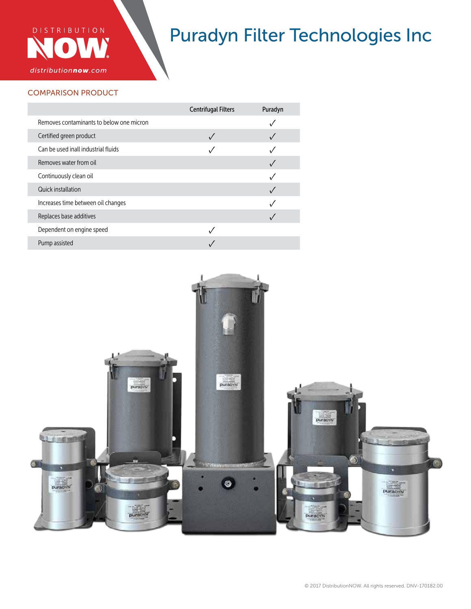

## COMPARISON PRODUCT

|                                          | <b>Centrifugal Filters</b> | Puradyn |
|------------------------------------------|----------------------------|---------|
| Removes contaminants to below one micron |                            |         |
| Certified green product                  |                            |         |
| Can be used inall industrial fluids      |                            |         |
| Removes water from oil                   |                            |         |
| Continuously clean oil                   |                            |         |
| Quick installation                       |                            |         |
| Increases time between oil changes       |                            |         |
| Replaces base additives                  |                            |         |
| Dependent on engine speed                |                            |         |
| Pump assisted                            |                            |         |

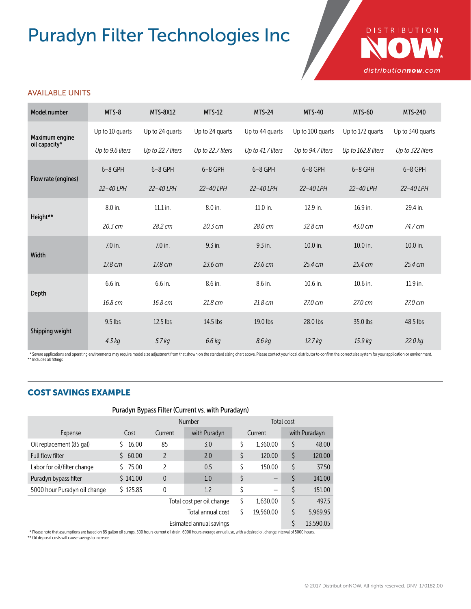

## AVAILABLE UNITS

| Model number                    | MTS-8             | <b>MTS-8X12</b>   | <b>MTS-12</b>     | <b>MTS-24</b>     | <b>MTS-40</b>     | <b>MTS-60</b>      | <b>MTS-240</b>   |
|---------------------------------|-------------------|-------------------|-------------------|-------------------|-------------------|--------------------|------------------|
| Maximum engine<br>oil capacity* | Up to 10 quarts   | Up to 24 quarts   | Up to 24 quarts   | Up to 44 quarts   | Up to 100 quarts  | Up to 172 quarts   | Up to 340 quarts |
|                                 | Up to 9.6 liters  | Up to 22.7 liters | Up to 22.7 liters | Up to 41.7 liters | Up to 94.7 liters | Up to 162.8 liters | Up to 322 liters |
| Flow rate (engines)             | $6-8$ GPH         | 6-8 GPH           | $6-8$ GPH         | $6-8$ GPH         | $6-8$ GPH         | $6 - 8$ GPH        | $6-8$ GPH        |
|                                 | 22-40 LPH         | 22-40 LPH         | 22-40 LPH         | 22-40 LPH         | 22-40 LPH         | 22-40 LPH          | 22-40 LPH        |
| Height**                        | 8.0 in.           | 11.1 in.          | 8.0 in.           | 11.0 in.          | 12.9 in.          | 16.9 in.           | 29.4 in.         |
|                                 | $20.3 \text{ cm}$ | 28.2 cm           | 20.3 cm           | 28.0 cm           | 32.8 cm           | 43.0 cm            | 74.7 cm          |
| Width                           | 7.0 in.           | 7.0 in.           | $9.3$ in.         | 9.3 in.           | 10.0 in.          | 10.0 in.           | 10.0 in.         |
|                                 | 17.8 cm           | 17.8 cm           | 23.6 cm           | 23.6 cm           | 25.4 cm           | 25.4 cm            | 25.4 cm          |
| Depth                           | 6.6 in.           | 6.6 in.           | 8.6 in.           | 8.6 in.           | 10.6 in.          | 10.6 in.           | 11.9 in.         |
|                                 | 16.8 cm           | 16.8 cm           | 21.8 cm           | 21.8 cm           | 27.0 cm           | 27.0 cm            | 27.0 cm          |
| Shipping weight                 | $9.5$ lbs         | 12.5 lbs          | 14.5 lbs          | 19.0 lbs          | 28.0 lbs          | 35.0 lbs           | 48.5 lbs         |
|                                 | 4.3 kg            | 5.7 <sub>kq</sub> | 6.6 kg            | 8.6 kg            | 12.7 kg           | 15.9 kg            | 22.0 kg          |

\* Severe applications and operating environments may require model size adjustment from that shown on the standard sizing chart above. Please contact your local distributor to confirm the correct size system for your appli

## COST SAVINGS EXAMPLE

## Puradyn Bypass Filter (Current vs. with Puradayn)

|                                                                                                                                                                               |             | Number                    |              |         | Total cost |               |           |  |
|-------------------------------------------------------------------------------------------------------------------------------------------------------------------------------|-------------|---------------------------|--------------|---------|------------|---------------|-----------|--|
| Expense                                                                                                                                                                       | Cost        | Current                   | with Puradyn | Current |            | with Puradayn |           |  |
| Oil replacement (85 gal)                                                                                                                                                      | 16.00       | 85                        | 3.0          | \$      | 1.360.00   |               | 48.00     |  |
| <b>Full flow filter</b>                                                                                                                                                       | 60.00<br>S. | 2                         | 2.0          | \$      | 120.00     | \$            | 120.00    |  |
| Labor for oil/filter change                                                                                                                                                   | 75.00       | 2                         | 0.5          | \$      | 150.00     | \$            | 37.50     |  |
| Puradyn bypass filter                                                                                                                                                         | \$141.00    | $\theta$                  | 1.0          | \$      | —          |               | 141.00    |  |
| 5000 hour Puradyn oil change                                                                                                                                                  | \$125.83    | 0                         | 1.2          | \$      | —          |               | 151.00    |  |
|                                                                                                                                                                               |             | Total cost per oil change |              |         | 1.630.00   | \$            | 497.5     |  |
| \$<br>19,560.00<br>Total annual cost                                                                                                                                          |             |                           |              | S       | 5.969.95   |               |           |  |
| Esimated annual savings                                                                                                                                                       |             |                           |              |         |            |               | 13,590.05 |  |
| * Blogge note that accumptions are based on QE as llon oil sumps. EQQ bours surrout oil drain. COQQ bours average appulaure with a desired oil shapes interval of EQQQ bours. |             |                           |              |         |            |               |           |  |

\* Please note that assumptions are based on 85 gallon oil sumps, 500 hours current oil drain, 6000 hours average annual use, with a desired oil change interval of 5000 hours.<br>\*\* Oil disposal costs will cause savings to inc